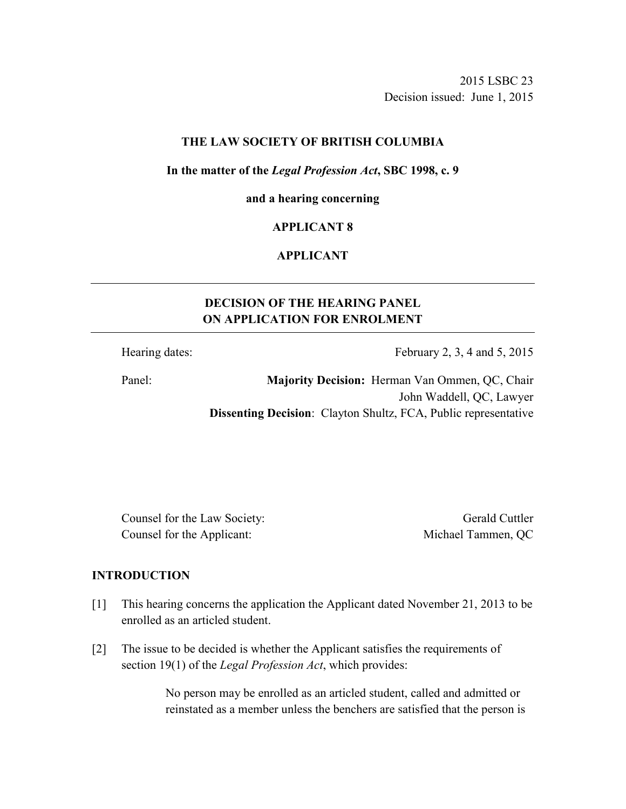2015 LSBC 23 Decision issued: June 1, 2015

#### **THE LAW SOCIETY OF BRITISH COLUMBIA**

#### **In the matter of the** *Legal Profession Act***, SBC 1998, c. 9**

#### **and a hearing concerning**

## **APPLICANT 8**

## **APPLICANT**

# **DECISION OF THE HEARING PANEL ON APPLICATION FOR ENROLMENT**

Hearing dates: February 2, 3, 4 and 5, 2015

Panel: **Majority Decision:** Herman Van Ommen, QC, Chair John Waddell, QC, Lawyer **Dissenting Decision**: Clayton Shultz, FCA, Public representative

Counsel for the Law Society: Gerald Cuttler Counsel for the Applicant: Michael Tammen, QC

#### **INTRODUCTION**

- [1] This hearing concerns the application the Applicant dated November 21, 2013 to be enrolled as an articled student.
- [2] The issue to be decided is whether the Applicant satisfies the requirements of section 19(1) of the *Legal Profession Act*, which provides:

No person may be enrolled as an articled student, called and admitted or reinstated as a member unless the benchers are satisfied that the person is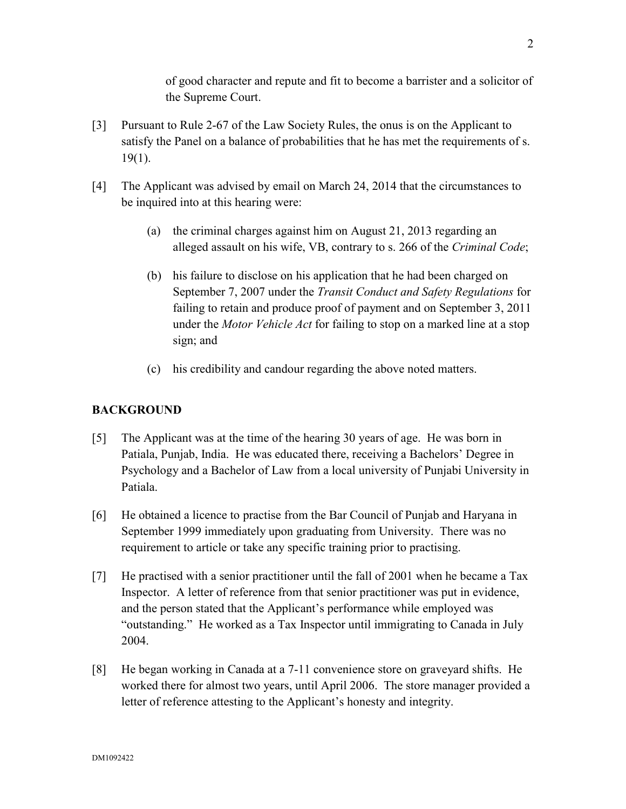of good character and repute and fit to become a barrister and a solicitor of the Supreme Court.

- [3] Pursuant to Rule 2-67 of the Law Society Rules, the onus is on the Applicant to satisfy the Panel on a balance of probabilities that he has met the requirements of s. 19(1).
- [4] The Applicant was advised by email on March 24, 2014 that the circumstances to be inquired into at this hearing were:
	- (a) the criminal charges against him on August 21, 2013 regarding an alleged assault on his wife, VB, contrary to s. 266 of the *Criminal Code*;
	- (b) his failure to disclose on his application that he had been charged on September 7, 2007 under the *Transit Conduct and Safety Regulations* for failing to retain and produce proof of payment and on September 3, 2011 under the *Motor Vehicle Act* for failing to stop on a marked line at a stop sign; and
	- (c) his credibility and candour regarding the above noted matters.

## **BACKGROUND**

- [5] The Applicant was at the time of the hearing 30 years of age. He was born in Patiala, Punjab, India. He was educated there, receiving a Bachelors' Degree in Psychology and a Bachelor of Law from a local university of Punjabi University in Patiala.
- [6] He obtained a licence to practise from the Bar Council of Punjab and Haryana in September 1999 immediately upon graduating from University. There was no requirement to article or take any specific training prior to practising.
- [7] He practised with a senior practitioner until the fall of 2001 when he became a Tax Inspector. A letter of reference from that senior practitioner was put in evidence, and the person stated that the Applicant's performance while employed was "outstanding." He worked as a Tax Inspector until immigrating to Canada in July 2004.
- [8] He began working in Canada at a 7-11 convenience store on graveyard shifts. He worked there for almost two years, until April 2006. The store manager provided a letter of reference attesting to the Applicant's honesty and integrity.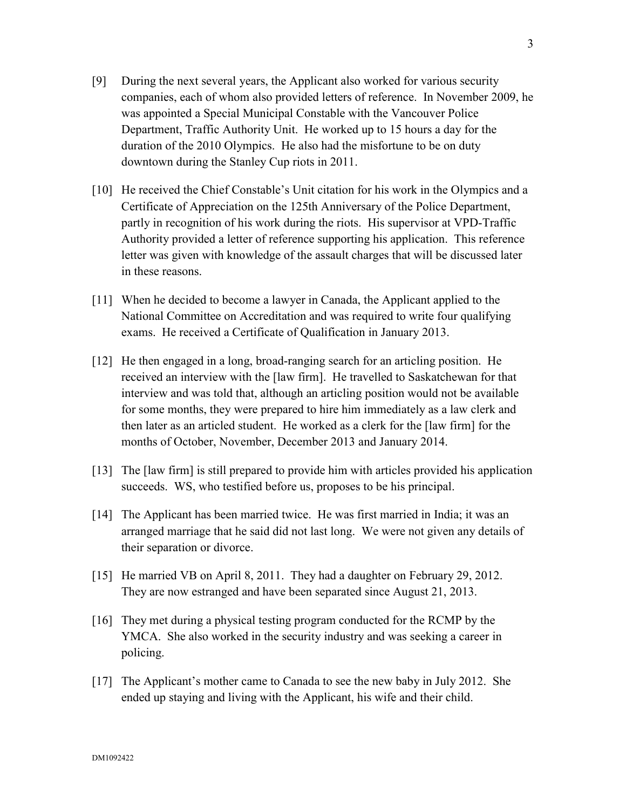- [9] During the next several years, the Applicant also worked for various security companies, each of whom also provided letters of reference. In November 2009, he was appointed a Special Municipal Constable with the Vancouver Police Department, Traffic Authority Unit. He worked up to 15 hours a day for the duration of the 2010 Olympics. He also had the misfortune to be on duty downtown during the Stanley Cup riots in 2011.
- [10] He received the Chief Constable's Unit citation for his work in the Olympics and a Certificate of Appreciation on the 125th Anniversary of the Police Department, partly in recognition of his work during the riots. His supervisor at VPD-Traffic Authority provided a letter of reference supporting his application. This reference letter was given with knowledge of the assault charges that will be discussed later in these reasons.
- [11] When he decided to become a lawyer in Canada, the Applicant applied to the National Committee on Accreditation and was required to write four qualifying exams. He received a Certificate of Qualification in January 2013.
- [12] He then engaged in a long, broad-ranging search for an articling position. He received an interview with the [law firm]. He travelled to Saskatchewan for that interview and was told that, although an articling position would not be available for some months, they were prepared to hire him immediately as a law clerk and then later as an articled student. He worked as a clerk for the [law firm] for the months of October, November, December 2013 and January 2014.
- [13] The [law firm] is still prepared to provide him with articles provided his application succeeds. WS, who testified before us, proposes to be his principal.
- [14] The Applicant has been married twice. He was first married in India; it was an arranged marriage that he said did not last long. We were not given any details of their separation or divorce.
- [15] He married VB on April 8, 2011. They had a daughter on February 29, 2012. They are now estranged and have been separated since August 21, 2013.
- [16] They met during a physical testing program conducted for the RCMP by the YMCA. She also worked in the security industry and was seeking a career in policing.
- [17] The Applicant's mother came to Canada to see the new baby in July 2012. She ended up staying and living with the Applicant, his wife and their child.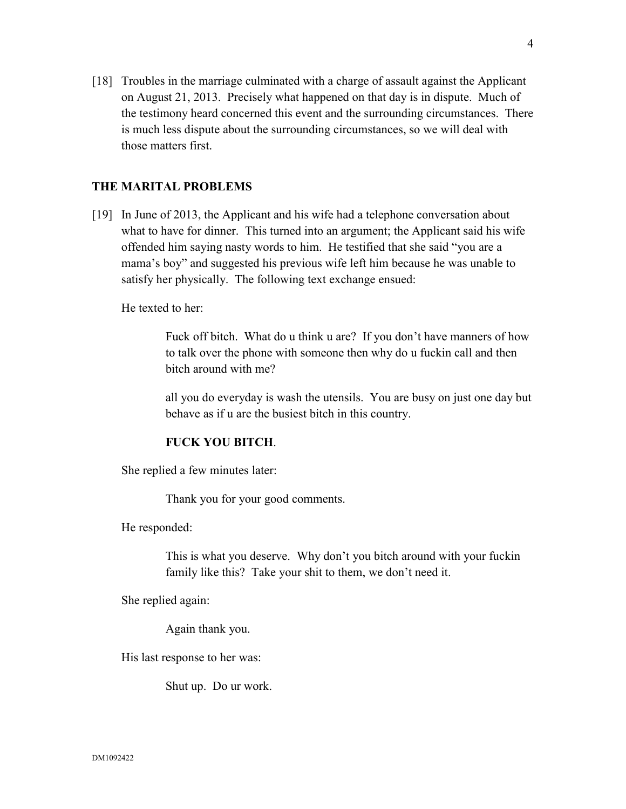[18] Troubles in the marriage culminated with a charge of assault against the Applicant on August 21, 2013. Precisely what happened on that day is in dispute. Much of the testimony heard concerned this event and the surrounding circumstances. There is much less dispute about the surrounding circumstances, so we will deal with those matters first.

### **THE MARITAL PROBLEMS**

[19] In June of 2013, the Applicant and his wife had a telephone conversation about what to have for dinner. This turned into an argument; the Applicant said his wife offended him saying nasty words to him. He testified that she said "you are a mama's boy" and suggested his previous wife left him because he was unable to satisfy her physically. The following text exchange ensued:

He texted to her:

Fuck off bitch. What do u think u are? If you don't have manners of how to talk over the phone with someone then why do u fuckin call and then bitch around with me?

all you do everyday is wash the utensils. You are busy on just one day but behave as if u are the busiest bitch in this country.

#### **FUCK YOU BITCH**.

She replied a few minutes later:

Thank you for your good comments.

He responded:

This is what you deserve. Why don't you bitch around with your fuckin family like this? Take your shit to them, we don't need it.

She replied again:

Again thank you.

His last response to her was:

Shut up. Do ur work.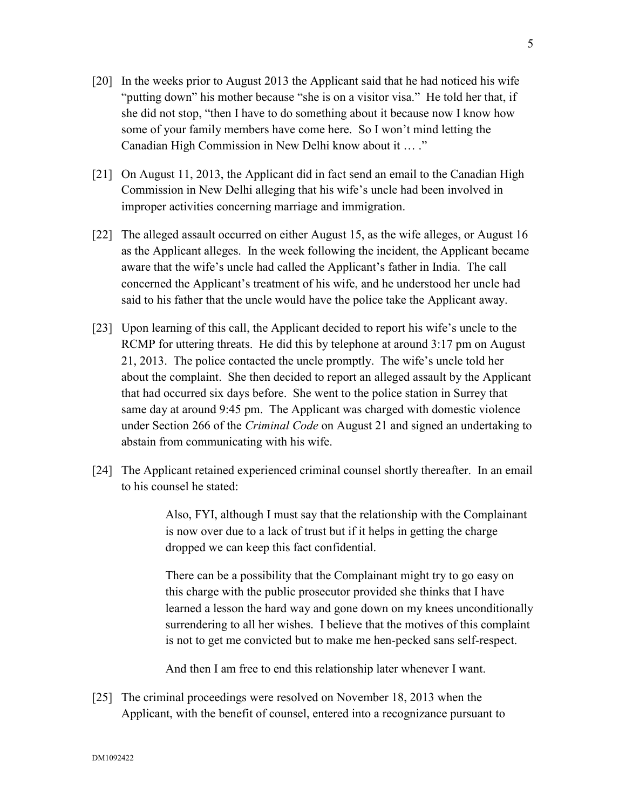- [20] In the weeks prior to August 2013 the Applicant said that he had noticed his wife "putting down" his mother because "she is on a visitor visa." He told her that, if she did not stop, "then I have to do something about it because now I know how some of your family members have come here. So I won't mind letting the Canadian High Commission in New Delhi know about it … ."
- [21] On August 11, 2013, the Applicant did in fact send an email to the Canadian High Commission in New Delhi alleging that his wife's uncle had been involved in improper activities concerning marriage and immigration.
- [22] The alleged assault occurred on either August 15, as the wife alleges, or August 16 as the Applicant alleges. In the week following the incident, the Applicant became aware that the wife's uncle had called the Applicant's father in India. The call concerned the Applicant's treatment of his wife, and he understood her uncle had said to his father that the uncle would have the police take the Applicant away.
- [23] Upon learning of this call, the Applicant decided to report his wife's uncle to the RCMP for uttering threats. He did this by telephone at around 3:17 pm on August 21, 2013. The police contacted the uncle promptly. The wife's uncle told her about the complaint. She then decided to report an alleged assault by the Applicant that had occurred six days before. She went to the police station in Surrey that same day at around 9:45 pm. The Applicant was charged with domestic violence under Section 266 of the *Criminal Code* on August 21 and signed an undertaking to abstain from communicating with his wife.
- [24] The Applicant retained experienced criminal counsel shortly thereafter. In an email to his counsel he stated:

Also, FYI, although I must say that the relationship with the Complainant is now over due to a lack of trust but if it helps in getting the charge dropped we can keep this fact confidential.

There can be a possibility that the Complainant might try to go easy on this charge with the public prosecutor provided she thinks that I have learned a lesson the hard way and gone down on my knees unconditionally surrendering to all her wishes. I believe that the motives of this complaint is not to get me convicted but to make me hen-pecked sans self-respect.

And then I am free to end this relationship later whenever I want.

[25] The criminal proceedings were resolved on November 18, 2013 when the Applicant, with the benefit of counsel, entered into a recognizance pursuant to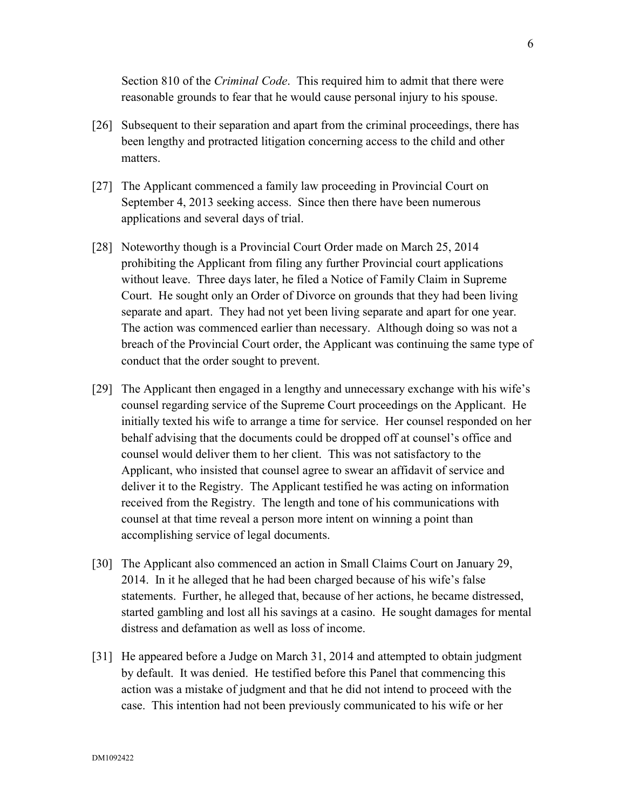Section 810 of the *Criminal Code*. This required him to admit that there were reasonable grounds to fear that he would cause personal injury to his spouse.

- [26] Subsequent to their separation and apart from the criminal proceedings, there has been lengthy and protracted litigation concerning access to the child and other matters.
- [27] The Applicant commenced a family law proceeding in Provincial Court on September 4, 2013 seeking access. Since then there have been numerous applications and several days of trial.
- [28] Noteworthy though is a Provincial Court Order made on March 25, 2014 prohibiting the Applicant from filing any further Provincial court applications without leave. Three days later, he filed a Notice of Family Claim in Supreme Court. He sought only an Order of Divorce on grounds that they had been living separate and apart. They had not yet been living separate and apart for one year. The action was commenced earlier than necessary. Although doing so was not a breach of the Provincial Court order, the Applicant was continuing the same type of conduct that the order sought to prevent.
- [29] The Applicant then engaged in a lengthy and unnecessary exchange with his wife's counsel regarding service of the Supreme Court proceedings on the Applicant. He initially texted his wife to arrange a time for service. Her counsel responded on her behalf advising that the documents could be dropped off at counsel's office and counsel would deliver them to her client. This was not satisfactory to the Applicant, who insisted that counsel agree to swear an affidavit of service and deliver it to the Registry. The Applicant testified he was acting on information received from the Registry. The length and tone of his communications with counsel at that time reveal a person more intent on winning a point than accomplishing service of legal documents.
- [30] The Applicant also commenced an action in Small Claims Court on January 29, 2014. In it he alleged that he had been charged because of his wife's false statements. Further, he alleged that, because of her actions, he became distressed, started gambling and lost all his savings at a casino. He sought damages for mental distress and defamation as well as loss of income.
- [31] He appeared before a Judge on March 31, 2014 and attempted to obtain judgment by default. It was denied. He testified before this Panel that commencing this action was a mistake of judgment and that he did not intend to proceed with the case. This intention had not been previously communicated to his wife or her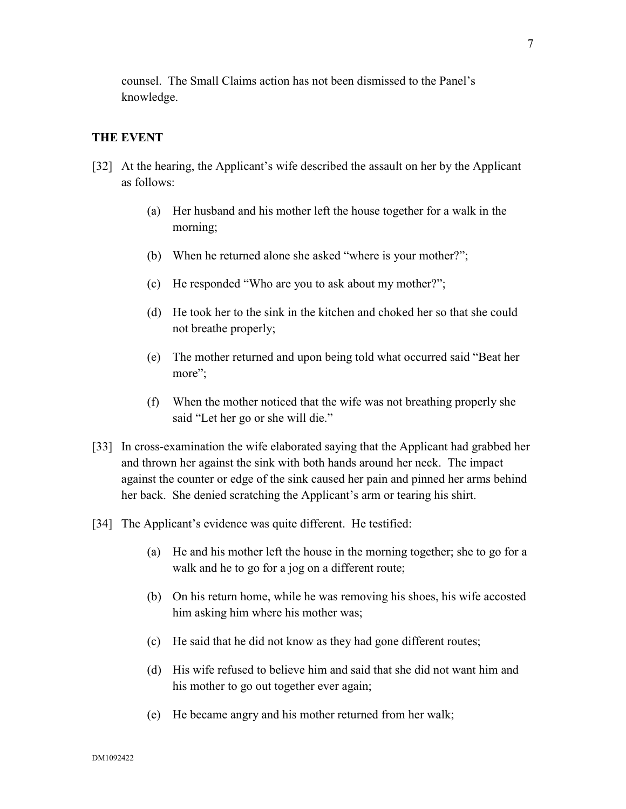counsel. The Small Claims action has not been dismissed to the Panel's knowledge.

### **THE EVENT**

- [32] At the hearing, the Applicant's wife described the assault on her by the Applicant as follows:
	- (a) Her husband and his mother left the house together for a walk in the morning;
	- (b) When he returned alone she asked "where is your mother?";
	- (c) He responded "Who are you to ask about my mother?";
	- (d) He took her to the sink in the kitchen and choked her so that she could not breathe properly;
	- (e) The mother returned and upon being told what occurred said "Beat her more":
	- (f) When the mother noticed that the wife was not breathing properly she said "Let her go or she will die."
- [33] In cross-examination the wife elaborated saying that the Applicant had grabbed her and thrown her against the sink with both hands around her neck. The impact against the counter or edge of the sink caused her pain and pinned her arms behind her back. She denied scratching the Applicant's arm or tearing his shirt.
- [34] The Applicant's evidence was quite different. He testified:
	- (a) He and his mother left the house in the morning together; she to go for a walk and he to go for a jog on a different route;
	- (b) On his return home, while he was removing his shoes, his wife accosted him asking him where his mother was;
	- (c) He said that he did not know as they had gone different routes;
	- (d) His wife refused to believe him and said that she did not want him and his mother to go out together ever again;
	- (e) He became angry and his mother returned from her walk;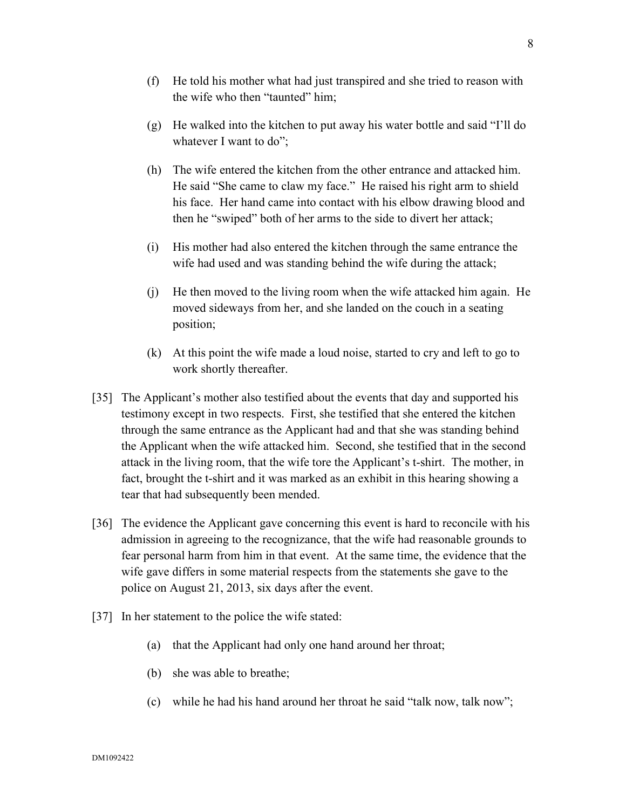- (f) He told his mother what had just transpired and she tried to reason with the wife who then "taunted" him;
- (g) He walked into the kitchen to put away his water bottle and said "I'll do whatever I want to do";
- (h) The wife entered the kitchen from the other entrance and attacked him. He said "She came to claw my face." He raised his right arm to shield his face. Her hand came into contact with his elbow drawing blood and then he "swiped" both of her arms to the side to divert her attack;
- (i) His mother had also entered the kitchen through the same entrance the wife had used and was standing behind the wife during the attack;
- (j) He then moved to the living room when the wife attacked him again. He moved sideways from her, and she landed on the couch in a seating position;
- (k) At this point the wife made a loud noise, started to cry and left to go to work shortly thereafter.
- [35] The Applicant's mother also testified about the events that day and supported his testimony except in two respects. First, she testified that she entered the kitchen through the same entrance as the Applicant had and that she was standing behind the Applicant when the wife attacked him. Second, she testified that in the second attack in the living room, that the wife tore the Applicant's t-shirt. The mother, in fact, brought the t-shirt and it was marked as an exhibit in this hearing showing a tear that had subsequently been mended.
- [36] The evidence the Applicant gave concerning this event is hard to reconcile with his admission in agreeing to the recognizance, that the wife had reasonable grounds to fear personal harm from him in that event. At the same time, the evidence that the wife gave differs in some material respects from the statements she gave to the police on August 21, 2013, six days after the event.
- [37] In her statement to the police the wife stated:
	- (a) that the Applicant had only one hand around her throat;
	- (b) she was able to breathe;
	- (c) while he had his hand around her throat he said "talk now, talk now";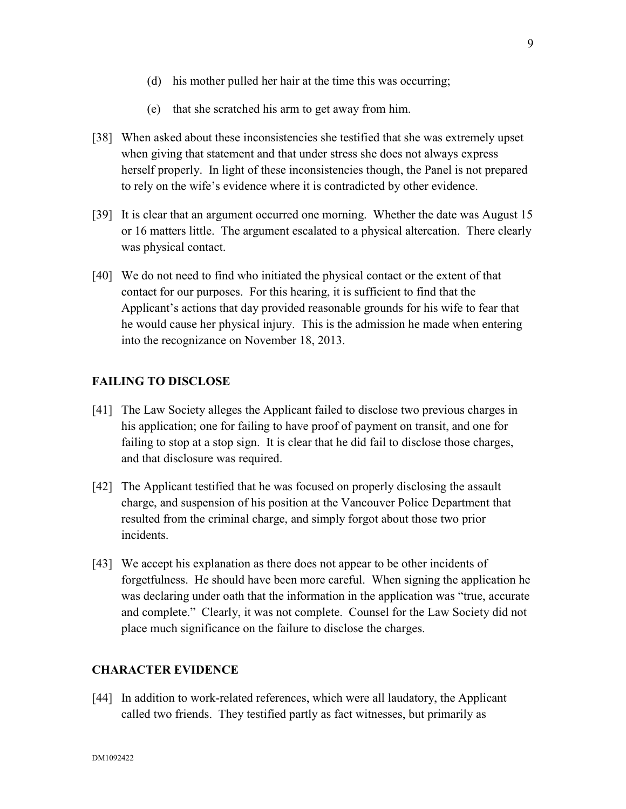- (d) his mother pulled her hair at the time this was occurring;
- (e) that she scratched his arm to get away from him.
- [38] When asked about these inconsistencies she testified that she was extremely upset when giving that statement and that under stress she does not always express herself properly. In light of these inconsistencies though, the Panel is not prepared to rely on the wife's evidence where it is contradicted by other evidence.
- [39] It is clear that an argument occurred one morning. Whether the date was August 15 or 16 matters little. The argument escalated to a physical altercation. There clearly was physical contact.
- [40] We do not need to find who initiated the physical contact or the extent of that contact for our purposes. For this hearing, it is sufficient to find that the Applicant's actions that day provided reasonable grounds for his wife to fear that he would cause her physical injury. This is the admission he made when entering into the recognizance on November 18, 2013.

## **FAILING TO DISCLOSE**

- [41] The Law Society alleges the Applicant failed to disclose two previous charges in his application; one for failing to have proof of payment on transit, and one for failing to stop at a stop sign. It is clear that he did fail to disclose those charges, and that disclosure was required.
- [42] The Applicant testified that he was focused on properly disclosing the assault charge, and suspension of his position at the Vancouver Police Department that resulted from the criminal charge, and simply forgot about those two prior incidents.
- [43] We accept his explanation as there does not appear to be other incidents of forgetfulness. He should have been more careful. When signing the application he was declaring under oath that the information in the application was "true, accurate and complete." Clearly, it was not complete. Counsel for the Law Society did not place much significance on the failure to disclose the charges.

#### **CHARACTER EVIDENCE**

[44] In addition to work-related references, which were all laudatory, the Applicant called two friends. They testified partly as fact witnesses, but primarily as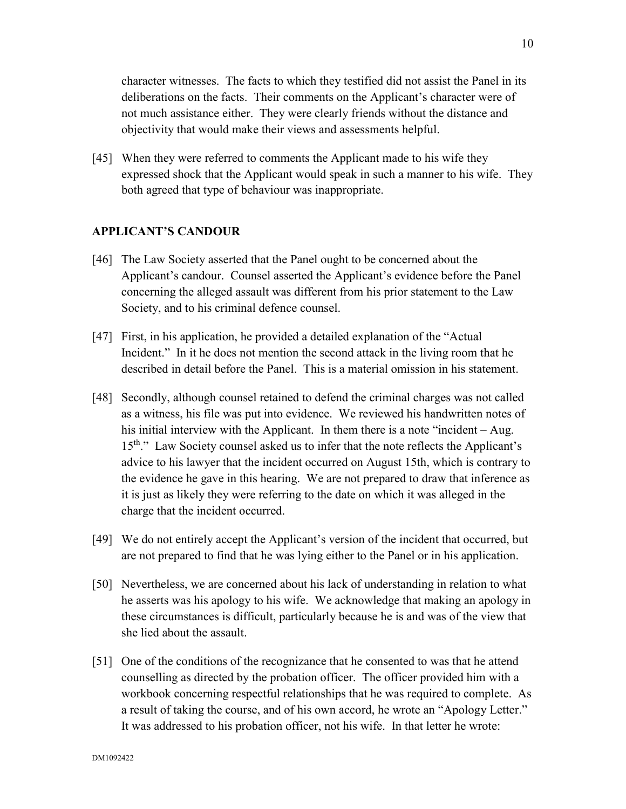character witnesses. The facts to which they testified did not assist the Panel in its deliberations on the facts. Their comments on the Applicant's character were of not much assistance either. They were clearly friends without the distance and objectivity that would make their views and assessments helpful.

[45] When they were referred to comments the Applicant made to his wife they expressed shock that the Applicant would speak in such a manner to his wife. They both agreed that type of behaviour was inappropriate.

## **APPLICANT'S CANDOUR**

- [46] The Law Society asserted that the Panel ought to be concerned about the Applicant's candour. Counsel asserted the Applicant's evidence before the Panel concerning the alleged assault was different from his prior statement to the Law Society, and to his criminal defence counsel.
- [47] First, in his application, he provided a detailed explanation of the "Actual Incident." In it he does not mention the second attack in the living room that he described in detail before the Panel. This is a material omission in his statement.
- [48] Secondly, although counsel retained to defend the criminal charges was not called as a witness, his file was put into evidence. We reviewed his handwritten notes of his initial interview with the Applicant. In them there is a note "incident – Aug. 15<sup>th</sup>." Law Society counsel asked us to infer that the note reflects the Applicant's advice to his lawyer that the incident occurred on August 15th, which is contrary to the evidence he gave in this hearing. We are not prepared to draw that inference as it is just as likely they were referring to the date on which it was alleged in the charge that the incident occurred.
- [49] We do not entirely accept the Applicant's version of the incident that occurred, but are not prepared to find that he was lying either to the Panel or in his application.
- [50] Nevertheless, we are concerned about his lack of understanding in relation to what he asserts was his apology to his wife. We acknowledge that making an apology in these circumstances is difficult, particularly because he is and was of the view that she lied about the assault.
- [51] One of the conditions of the recognizance that he consented to was that he attend counselling as directed by the probation officer. The officer provided him with a workbook concerning respectful relationships that he was required to complete. As a result of taking the course, and of his own accord, he wrote an "Apology Letter." It was addressed to his probation officer, not his wife. In that letter he wrote: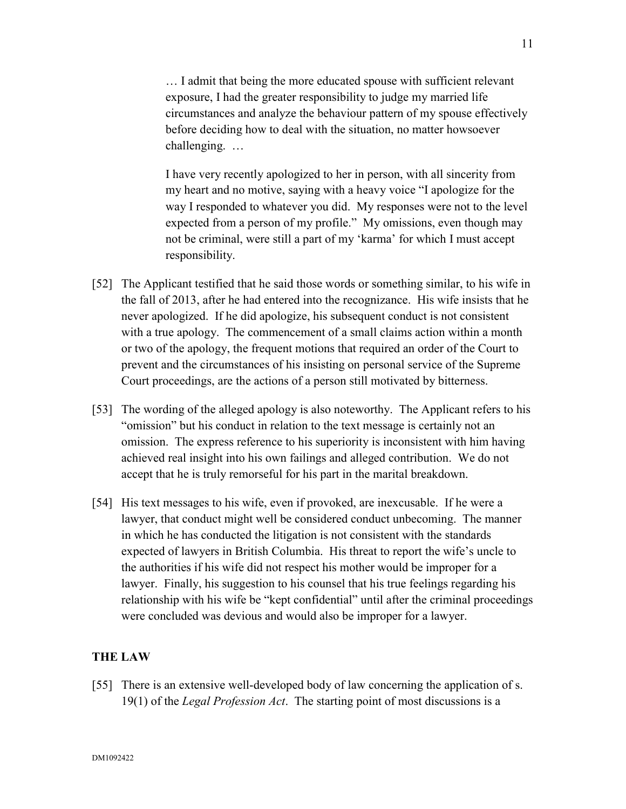… I admit that being the more educated spouse with sufficient relevant exposure, I had the greater responsibility to judge my married life circumstances and analyze the behaviour pattern of my spouse effectively before deciding how to deal with the situation, no matter howsoever challenging. …

I have very recently apologized to her in person, with all sincerity from my heart and no motive, saying with a heavy voice "I apologize for the way I responded to whatever you did. My responses were not to the level expected from a person of my profile." My omissions, even though may not be criminal, were still a part of my 'karma' for which I must accept responsibility.

- [52] The Applicant testified that he said those words or something similar, to his wife in the fall of 2013, after he had entered into the recognizance. His wife insists that he never apologized. If he did apologize, his subsequent conduct is not consistent with a true apology. The commencement of a small claims action within a month or two of the apology, the frequent motions that required an order of the Court to prevent and the circumstances of his insisting on personal service of the Supreme Court proceedings, are the actions of a person still motivated by bitterness.
- [53] The wording of the alleged apology is also noteworthy. The Applicant refers to his "omission" but his conduct in relation to the text message is certainly not an omission. The express reference to his superiority is inconsistent with him having achieved real insight into his own failings and alleged contribution. We do not accept that he is truly remorseful for his part in the marital breakdown.
- [54] His text messages to his wife, even if provoked, are inexcusable. If he were a lawyer, that conduct might well be considered conduct unbecoming. The manner in which he has conducted the litigation is not consistent with the standards expected of lawyers in British Columbia. His threat to report the wife's uncle to the authorities if his wife did not respect his mother would be improper for a lawyer. Finally, his suggestion to his counsel that his true feelings regarding his relationship with his wife be "kept confidential" until after the criminal proceedings were concluded was devious and would also be improper for a lawyer.

## **THE LAW**

[55] There is an extensive well-developed body of law concerning the application of s. 19(1) of the *Legal Profession Act*. The starting point of most discussions is a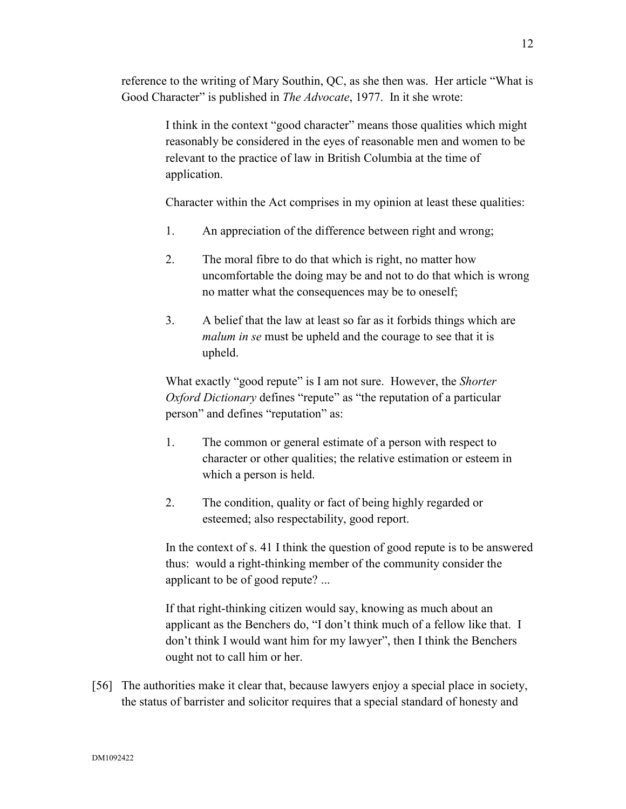reference to the writing of Mary Southin, QC, as she then was. Her article "What is Good Character" is published in *The Advocate*, 1977. In it she wrote:

> I think in the context "good character" means those qualities which might reasonably be considered in the eyes of reasonable men and women to be relevant to the practice of law in British Columbia at the time of application.

> Character within the Act comprises in my opinion at least these qualities:

- 1. An appreciation of the difference between right and wrong;
- 2. The moral fibre to do that which is right, no matter how uncomfortable the doing may be and not to do that which is wrong no matter what the consequences may be to oneself;
- 3. A belief that the law at least so far as it forbids things which are *malum in se* must be upheld and the courage to see that it is upheld.

What exactly "good repute" is I am not sure. However, the *Shorter Oxford Dictionary* defines "repute" as "the reputation of a particular person" and defines "reputation" as:

- 1. The common or general estimate of a person with respect to character or other qualities; the relative estimation or esteem in which a person is held.
- 2. The condition, quality or fact of being highly regarded or esteemed; also respectability, good report.

In the context of s. 41 I think the question of good repute is to be answered thus: would a right-thinking member of the community consider the applicant to be of good repute? ...

If that right-thinking citizen would say, knowing as much about an applicant as the Benchers do, "I don't think much of a fellow like that. I don't think I would want him for my lawyer", then I think the Benchers ought not to call him or her.

[56] The authorities make it clear that, because lawyers enjoy a special place in society, the status of barrister and solicitor requires that a special standard of honesty and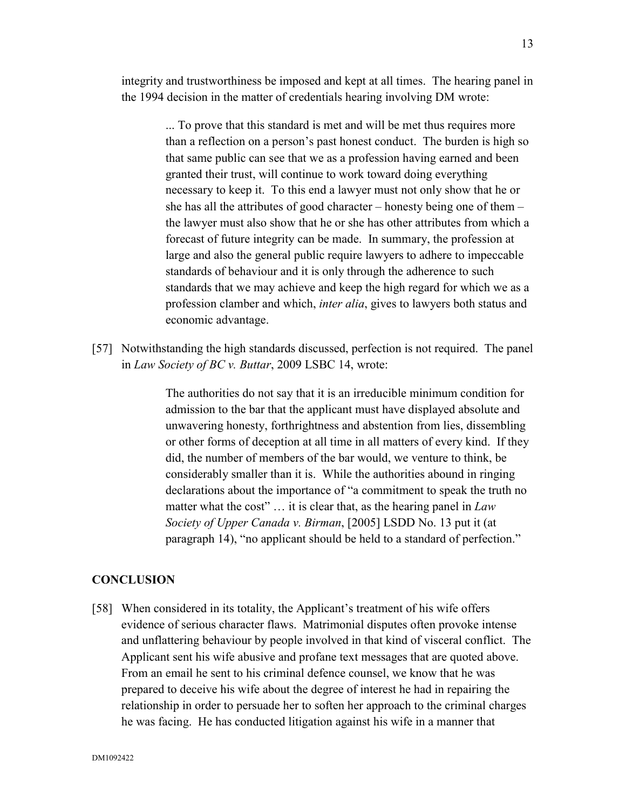integrity and trustworthiness be imposed and kept at all times. The hearing panel in the 1994 decision in the matter of credentials hearing involving DM wrote:

> ... To prove that this standard is met and will be met thus requires more than a reflection on a person's past honest conduct. The burden is high so that same public can see that we as a profession having earned and been granted their trust, will continue to work toward doing everything necessary to keep it. To this end a lawyer must not only show that he or she has all the attributes of good character – honesty being one of them – the lawyer must also show that he or she has other attributes from which a forecast of future integrity can be made. In summary, the profession at large and also the general public require lawyers to adhere to impeccable standards of behaviour and it is only through the adherence to such standards that we may achieve and keep the high regard for which we as a profession clamber and which, *inter alia*, gives to lawyers both status and economic advantage.

[57] Notwithstanding the high standards discussed, perfection is not required. The panel in *Law Society of BC v. Buttar*, 2009 LSBC 14, wrote:

> The authorities do not say that it is an irreducible minimum condition for admission to the bar that the applicant must have displayed absolute and unwavering honesty, forthrightness and abstention from lies, dissembling or other forms of deception at all time in all matters of every kind. If they did, the number of members of the bar would, we venture to think, be considerably smaller than it is. While the authorities abound in ringing declarations about the importance of "a commitment to speak the truth no matter what the cost" … it is clear that, as the hearing panel in *Law Society of Upper Canada v. Birman*, [2005] LSDD No. 13 put it (at paragraph 14), "no applicant should be held to a standard of perfection."

## **CONCLUSION**

[58] When considered in its totality, the Applicant's treatment of his wife offers evidence of serious character flaws. Matrimonial disputes often provoke intense and unflattering behaviour by people involved in that kind of visceral conflict. The Applicant sent his wife abusive and profane text messages that are quoted above. From an email he sent to his criminal defence counsel, we know that he was prepared to deceive his wife about the degree of interest he had in repairing the relationship in order to persuade her to soften her approach to the criminal charges he was facing. He has conducted litigation against his wife in a manner that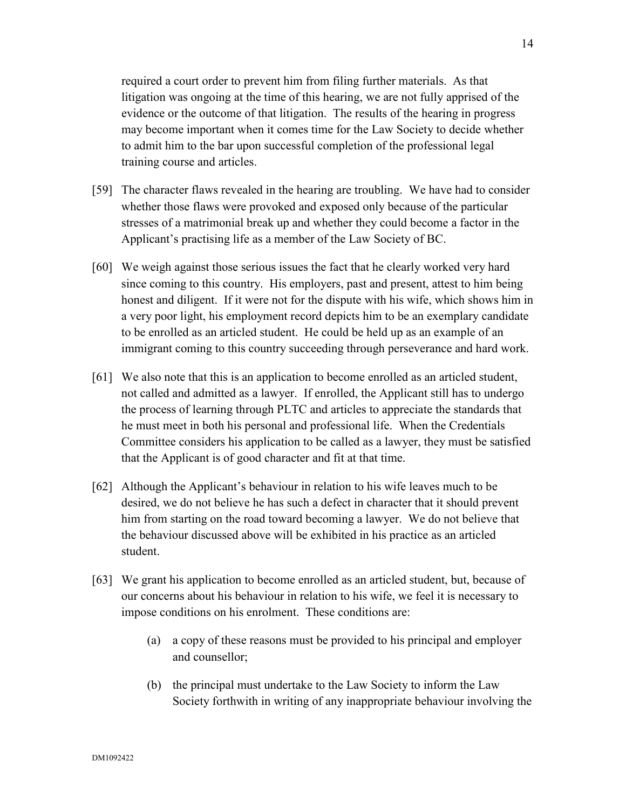required a court order to prevent him from filing further materials. As that litigation was ongoing at the time of this hearing, we are not fully apprised of the evidence or the outcome of that litigation. The results of the hearing in progress may become important when it comes time for the Law Society to decide whether to admit him to the bar upon successful completion of the professional legal training course and articles.

- [59] The character flaws revealed in the hearing are troubling. We have had to consider whether those flaws were provoked and exposed only because of the particular stresses of a matrimonial break up and whether they could become a factor in the Applicant's practising life as a member of the Law Society of BC.
- [60] We weigh against those serious issues the fact that he clearly worked very hard since coming to this country. His employers, past and present, attest to him being honest and diligent. If it were not for the dispute with his wife, which shows him in a very poor light, his employment record depicts him to be an exemplary candidate to be enrolled as an articled student. He could be held up as an example of an immigrant coming to this country succeeding through perseverance and hard work.
- [61] We also note that this is an application to become enrolled as an articled student, not called and admitted as a lawyer. If enrolled, the Applicant still has to undergo the process of learning through PLTC and articles to appreciate the standards that he must meet in both his personal and professional life. When the Credentials Committee considers his application to be called as a lawyer, they must be satisfied that the Applicant is of good character and fit at that time.
- [62] Although the Applicant's behaviour in relation to his wife leaves much to be desired, we do not believe he has such a defect in character that it should prevent him from starting on the road toward becoming a lawyer. We do not believe that the behaviour discussed above will be exhibited in his practice as an articled student.
- [63] We grant his application to become enrolled as an articled student, but, because of our concerns about his behaviour in relation to his wife, we feel it is necessary to impose conditions on his enrolment. These conditions are:
	- (a) a copy of these reasons must be provided to his principal and employer and counsellor;
	- (b) the principal must undertake to the Law Society to inform the Law Society forthwith in writing of any inappropriate behaviour involving the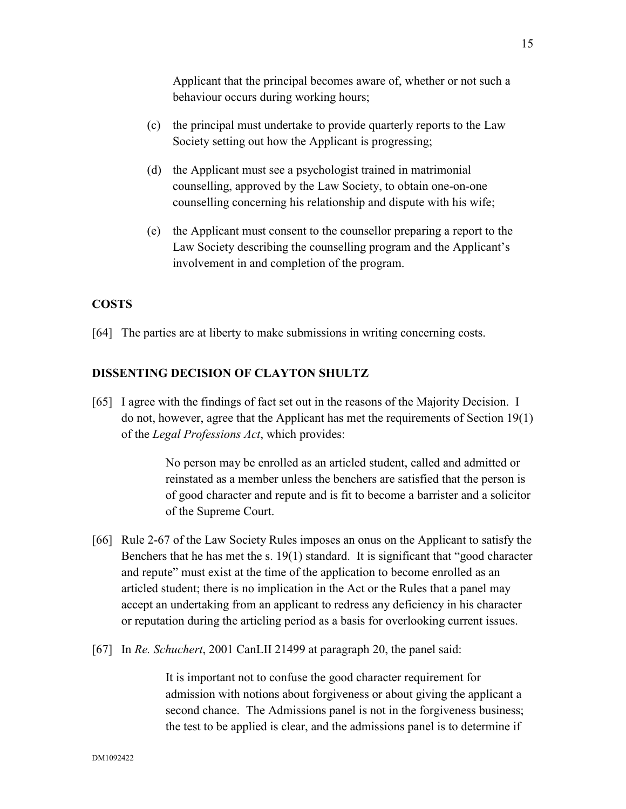Applicant that the principal becomes aware of, whether or not such a behaviour occurs during working hours;

- (c) the principal must undertake to provide quarterly reports to the Law Society setting out how the Applicant is progressing;
- (d) the Applicant must see a psychologist trained in matrimonial counselling, approved by the Law Society, to obtain one-on-one counselling concerning his relationship and dispute with his wife;
- (e) the Applicant must consent to the counsellor preparing a report to the Law Society describing the counselling program and the Applicant's involvement in and completion of the program.

## **COSTS**

[64] The parties are at liberty to make submissions in writing concerning costs.

## **DISSENTING DECISION OF CLAYTON SHULTZ**

[65] I agree with the findings of fact set out in the reasons of the Majority Decision. I do not, however, agree that the Applicant has met the requirements of Section 19(1) of the *Legal Professions Act*, which provides:

> No person may be enrolled as an articled student, called and admitted or reinstated as a member unless the benchers are satisfied that the person is of good character and repute and is fit to become a barrister and a solicitor of the Supreme Court.

- [66] Rule 2-67 of the Law Society Rules imposes an onus on the Applicant to satisfy the Benchers that he has met the s. 19(1) standard. It is significant that "good character and repute" must exist at the time of the application to become enrolled as an articled student; there is no implication in the Act or the Rules that a panel may accept an undertaking from an applicant to redress any deficiency in his character or reputation during the articling period as a basis for overlooking current issues.
- [67] In *Re. Schuchert*, 2001 CanLII 21499 at paragraph 20, the panel said:

It is important not to confuse the good character requirement for admission with notions about forgiveness or about giving the applicant a second chance. The Admissions panel is not in the forgiveness business; the test to be applied is clear, and the admissions panel is to determine if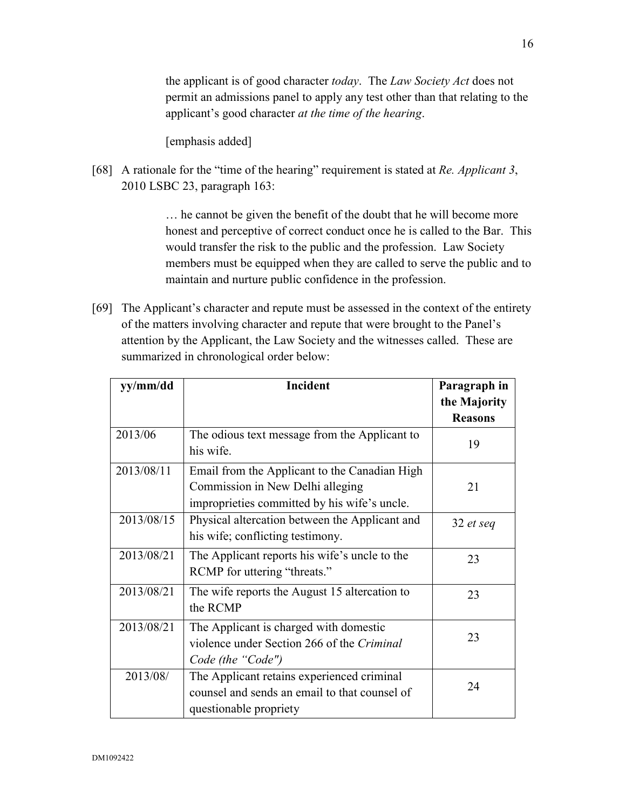the applicant is of good character *today*. The *Law Society Act* does not permit an admissions panel to apply any test other than that relating to the applicant's good character *at the time of the hearing*.

[emphasis added]

[68] A rationale for the "time of the hearing" requirement is stated at *Re. Applicant 3*, 2010 LSBC 23, paragraph 163:

> … he cannot be given the benefit of the doubt that he will become more honest and perceptive of correct conduct once he is called to the Bar. This would transfer the risk to the public and the profession. Law Society members must be equipped when they are called to serve the public and to maintain and nurture public confidence in the profession.

[69] The Applicant's character and repute must be assessed in the context of the entirety of the matters involving character and repute that were brought to the Panel's attention by the Applicant, the Law Society and the witnesses called. These are summarized in chronological order below:

| yy/mm/dd   | <b>Incident</b>                                                                                                                   | Paragraph in   |
|------------|-----------------------------------------------------------------------------------------------------------------------------------|----------------|
|            |                                                                                                                                   | the Majority   |
|            |                                                                                                                                   | <b>Reasons</b> |
| 2013/06    | The odious text message from the Applicant to<br>his wife.                                                                        | 19             |
| 2013/08/11 | Email from the Applicant to the Canadian High<br>Commission in New Delhi alleging<br>improprieties committed by his wife's uncle. | 21             |
| 2013/08/15 | Physical altercation between the Applicant and<br>his wife; conflicting testimony.                                                | 32 et seq      |
| 2013/08/21 | The Applicant reports his wife's uncle to the<br>RCMP for uttering "threats."                                                     | 23             |
| 2013/08/21 | The wife reports the August 15 altercation to<br>the RCMP                                                                         | 23             |
| 2013/08/21 | The Applicant is charged with domestic<br>violence under Section 266 of the Criminal<br>Code (the "Code")                         | 23             |
| 2013/08/   | The Applicant retains experienced criminal<br>counsel and sends an email to that counsel of<br>questionable propriety             | 24             |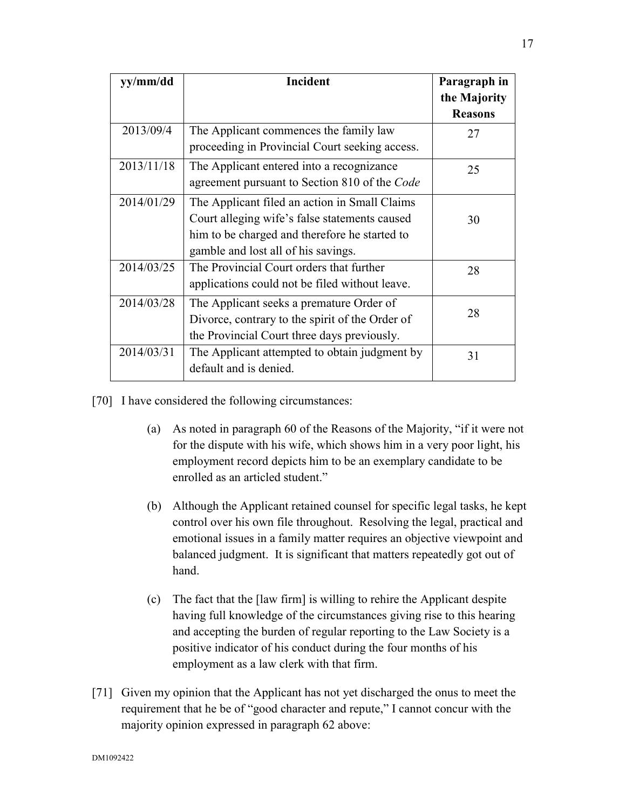| yy/mm/dd   | Incident                                        | Paragraph in<br>the Majority |
|------------|-------------------------------------------------|------------------------------|
|            |                                                 | <b>Reasons</b>               |
| 2013/09/4  | The Applicant commences the family law          | 27                           |
|            | proceeding in Provincial Court seeking access.  |                              |
| 2013/11/18 | The Applicant entered into a recognizance       | 25                           |
|            | agreement pursuant to Section 810 of the Code   |                              |
| 2014/01/29 | The Applicant filed an action in Small Claims   |                              |
|            | Court alleging wife's false statements caused   | 30                           |
|            | him to be charged and therefore he started to   |                              |
|            | gamble and lost all of his savings.             |                              |
| 2014/03/25 | The Provincial Court orders that further        | 28                           |
|            | applications could not be filed without leave.  |                              |
| 2014/03/28 | The Applicant seeks a premature Order of        |                              |
|            | Divorce, contrary to the spirit of the Order of | 28                           |
|            | the Provincial Court three days previously.     |                              |
| 2014/03/31 | The Applicant attempted to obtain judgment by   | 31                           |
|            | default and is denied.                          |                              |

[70] I have considered the following circumstances:

- (a) As noted in paragraph 60 of the Reasons of the Majority, "if it were not for the dispute with his wife, which shows him in a very poor light, his employment record depicts him to be an exemplary candidate to be enrolled as an articled student."
- (b) Although the Applicant retained counsel for specific legal tasks, he kept control over his own file throughout. Resolving the legal, practical and emotional issues in a family matter requires an objective viewpoint and balanced judgment. It is significant that matters repeatedly got out of hand.
- (c) The fact that the [law firm] is willing to rehire the Applicant despite having full knowledge of the circumstances giving rise to this hearing and accepting the burden of regular reporting to the Law Society is a positive indicator of his conduct during the four months of his employment as a law clerk with that firm.
- [71] Given my opinion that the Applicant has not yet discharged the onus to meet the requirement that he be of "good character and repute," I cannot concur with the majority opinion expressed in paragraph 62 above: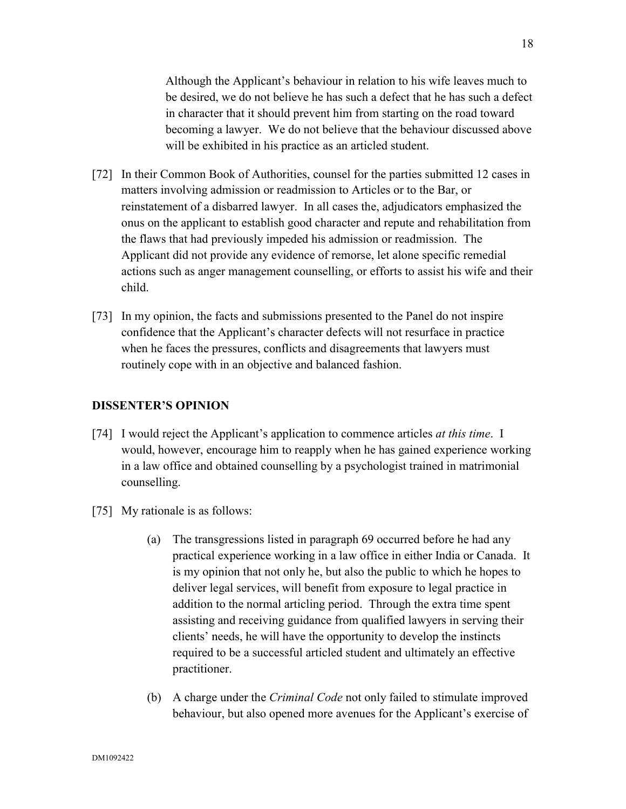Although the Applicant's behaviour in relation to his wife leaves much to be desired, we do not believe he has such a defect that he has such a defect in character that it should prevent him from starting on the road toward becoming a lawyer. We do not believe that the behaviour discussed above will be exhibited in his practice as an articled student.

- [72] In their Common Book of Authorities, counsel for the parties submitted 12 cases in matters involving admission or readmission to Articles or to the Bar, or reinstatement of a disbarred lawyer. In all cases the, adjudicators emphasized the onus on the applicant to establish good character and repute and rehabilitation from the flaws that had previously impeded his admission or readmission. The Applicant did not provide any evidence of remorse, let alone specific remedial actions such as anger management counselling, or efforts to assist his wife and their child.
- [73] In my opinion, the facts and submissions presented to the Panel do not inspire confidence that the Applicant's character defects will not resurface in practice when he faces the pressures, conflicts and disagreements that lawyers must routinely cope with in an objective and balanced fashion.

## **DISSENTER'S OPINION**

- [74] I would reject the Applicant's application to commence articles *at this time*. I would, however, encourage him to reapply when he has gained experience working in a law office and obtained counselling by a psychologist trained in matrimonial counselling.
- [75] My rationale is as follows:
	- (a) The transgressions listed in paragraph 69 occurred before he had any practical experience working in a law office in either India or Canada. It is my opinion that not only he, but also the public to which he hopes to deliver legal services, will benefit from exposure to legal practice in addition to the normal articling period. Through the extra time spent assisting and receiving guidance from qualified lawyers in serving their clients' needs, he will have the opportunity to develop the instincts required to be a successful articled student and ultimately an effective practitioner.
	- (b) A charge under the *Criminal Code* not only failed to stimulate improved behaviour, but also opened more avenues for the Applicant's exercise of